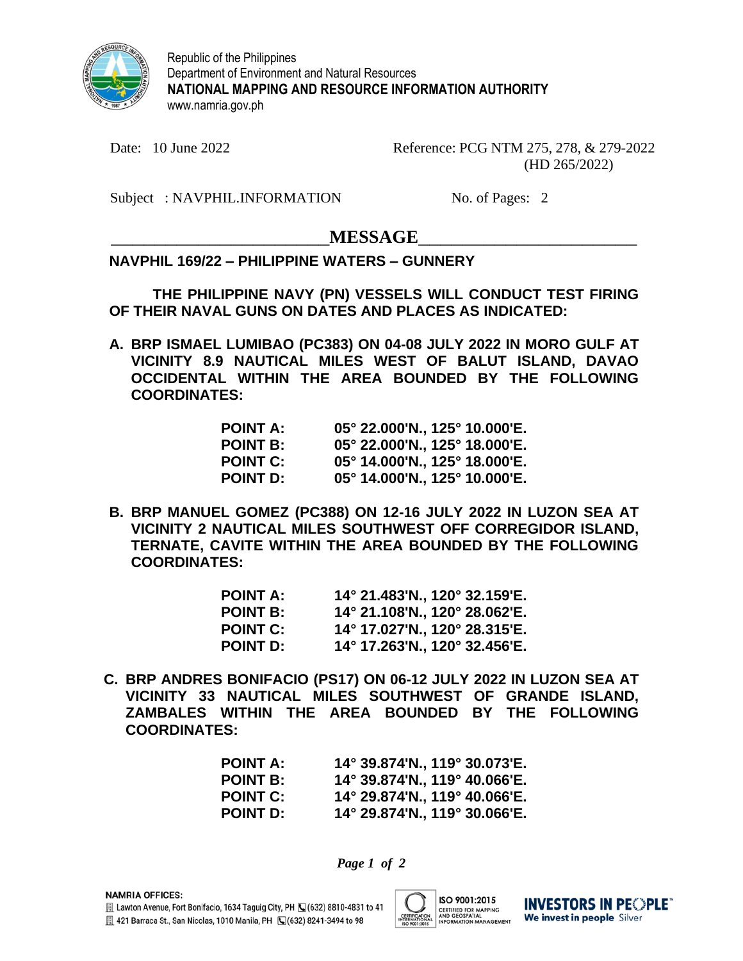

Republic of the Philippines Department of Environment and Natural Resources **NATIONAL MAPPING AND RESOURCE INFORMATION AUTHORITY** www.namria.gov.ph

Date: 10 June 2022 Reference: PCG NTM 275, 278, & 279-2022 (HD 265/2022)

Subject : NAVPHIL.INFORMATION No. of Pages: 2

## $MESSAGE$

## **NAVPHIL 169/22 – PHILIPPINE WATERS – GUNNERY**

**THE PHILIPPINE NAVY (PN) VESSELS WILL CONDUCT TEST FIRING OF THEIR NAVAL GUNS ON DATES AND PLACES AS INDICATED:**

**A. BRP ISMAEL LUMIBAO (PC383) ON 04-08 JULY 2022 IN MORO GULF AT VICINITY 8.9 NAUTICAL MILES WEST OF BALUT ISLAND, DAVAO OCCIDENTAL WITHIN THE AREA BOUNDED BY THE FOLLOWING COORDINATES:**

| <b>POINT A:</b> | $05^{\circ}$ 22.000'N., 125 $^{\circ}$ 10.000'E. |
|-----------------|--------------------------------------------------|
| <b>POINT B:</b> | $05^{\circ}$ 22.000'N., 125 $^{\circ}$ 18.000'E. |
| <b>POINT C:</b> | $05^{\circ}$ 14.000'N., 125 $^{\circ}$ 18.000'E. |
| POINT D:        | $05^{\circ}$ 14.000'N., 125 $^{\circ}$ 10.000'E. |

**B. BRP MANUEL GOMEZ (PC388) ON 12-16 JULY 2022 IN LUZON SEA AT VICINITY 2 NAUTICAL MILES SOUTHWEST OFF CORREGIDOR ISLAND, TERNATE, CAVITE WITHIN THE AREA BOUNDED BY THE FOLLOWING COORDINATES:**

| <b>POINT A:</b> | 14° 21.483'N., 120° 32.159'E. |
|-----------------|-------------------------------|
| <b>POINT B:</b> | 14° 21.108'N., 120° 28.062'E. |
| <b>POINT C:</b> | 14° 17.027'N., 120° 28.315'E. |
| <b>POINT D:</b> | 14° 17.263'N., 120° 32.456'E. |

**C. BRP ANDRES BONIFACIO (PS17) ON 06-12 JULY 2022 IN LUZON SEA AT VICINITY 33 NAUTICAL MILES SOUTHWEST OF GRANDE ISLAND, ZAMBALES WITHIN THE AREA BOUNDED BY THE FOLLOWING COORDINATES:**

| <b>POINT A:</b> | 14° 39.874'N., 119° 30.073'E.                    |
|-----------------|--------------------------------------------------|
| <b>POINT B:</b> | $14^{\circ}$ 39.874'N., 119 $^{\circ}$ 40.066'E. |
| <b>POINT C:</b> | 14° 29.874'N., 119° 40.066'E.                    |
| <b>POINT D:</b> | 14° 29.874'N., 119° 30.066'E.                    |

*Page 1 of 2*